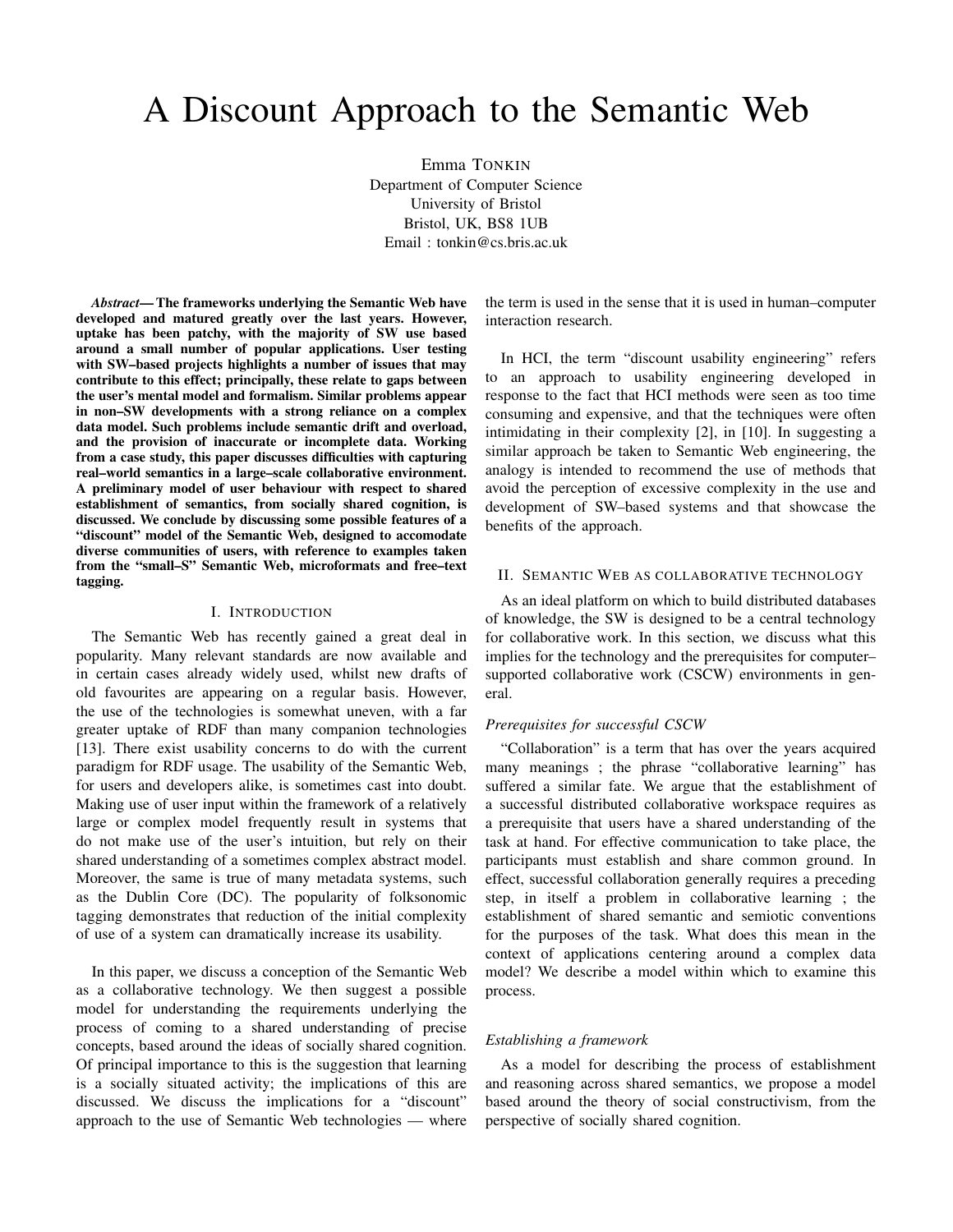# A Discount Approach to the Semantic Web

Emma TONKIN Department of Computer Science University of Bristol Bristol, UK, BS8 1UB Email : tonkin@cs.bris.ac.uk

*Abstract*— The frameworks underlying the Semantic Web have developed and matured greatly over the last years. However, uptake has been patchy, with the majority of SW use based around a small number of popular applications. User testing with SW–based projects highlights a number of issues that may contribute to this effect; principally, these relate to gaps between the user's mental model and formalism. Similar problems appear in non–SW developments with a strong reliance on a complex data model. Such problems include semantic drift and overload, and the provision of inaccurate or incomplete data. Working from a case study, this paper discusses difficulties with capturing real–world semantics in a large–scale collaborative environment. A preliminary model of user behaviour with respect to shared establishment of semantics, from socially shared cognition, is discussed. We conclude by discussing some possible features of a "discount" model of the Semantic Web, designed to accomodate diverse communities of users, with reference to examples taken from the "small–S" Semantic Web, microformats and free–text tagging.

#### I. INTRODUCTION

The Semantic Web has recently gained a great deal in popularity. Many relevant standards are now available and in certain cases already widely used, whilst new drafts of old favourites are appearing on a regular basis. However, the use of the technologies is somewhat uneven, with a far greater uptake of RDF than many companion technologies [13]. There exist usability concerns to do with the current paradigm for RDF usage. The usability of the Semantic Web, for users and developers alike, is sometimes cast into doubt. Making use of user input within the framework of a relatively large or complex model frequently result in systems that do not make use of the user's intuition, but rely on their shared understanding of a sometimes complex abstract model. Moreover, the same is true of many metadata systems, such as the Dublin Core (DC). The popularity of folksonomic tagging demonstrates that reduction of the initial complexity of use of a system can dramatically increase its usability.

In this paper, we discuss a conception of the Semantic Web as a collaborative technology. We then suggest a possible model for understanding the requirements underlying the process of coming to a shared understanding of precise concepts, based around the ideas of socially shared cognition. Of principal importance to this is the suggestion that learning is a socially situated activity; the implications of this are discussed. We discuss the implications for a "discount" approach to the use of Semantic Web technologies — where the term is used in the sense that it is used in human–computer interaction research.

In HCI, the term "discount usability engineering" refers to an approach to usability engineering developed in response to the fact that HCI methods were seen as too time consuming and expensive, and that the techniques were often intimidating in their complexity [2], in [10]. In suggesting a similar approach be taken to Semantic Web engineering, the analogy is intended to recommend the use of methods that avoid the perception of excessive complexity in the use and development of SW–based systems and that showcase the benefits of the approach.

## II. SEMANTIC WEB AS COLLABORATIVE TECHNOLOGY

As an ideal platform on which to build distributed databases of knowledge, the SW is designed to be a central technology for collaborative work. In this section, we discuss what this implies for the technology and the prerequisites for computer– supported collaborative work (CSCW) environments in general.

# *Prerequisites for successful CSCW*

"Collaboration" is a term that has over the years acquired many meanings ; the phrase "collaborative learning" has suffered a similar fate. We argue that the establishment of a successful distributed collaborative workspace requires as a prerequisite that users have a shared understanding of the task at hand. For effective communication to take place, the participants must establish and share common ground. In effect, successful collaboration generally requires a preceding step, in itself a problem in collaborative learning ; the establishment of shared semantic and semiotic conventions for the purposes of the task. What does this mean in the context of applications centering around a complex data model? We describe a model within which to examine this process.

#### *Establishing a framework*

As a model for describing the process of establishment and reasoning across shared semantics, we propose a model based around the theory of social constructivism, from the perspective of socially shared cognition.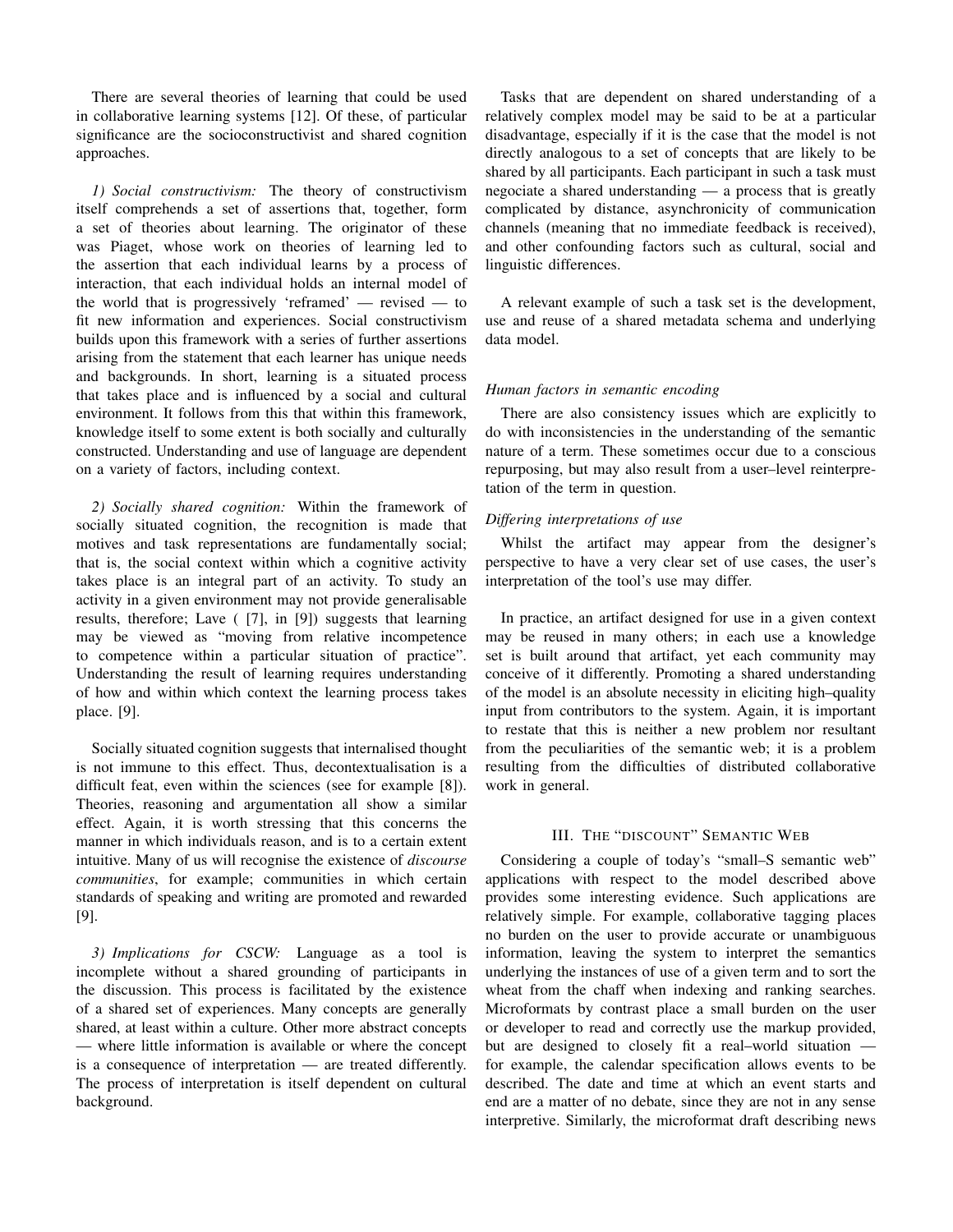There are several theories of learning that could be used in collaborative learning systems [12]. Of these, of particular significance are the socioconstructivist and shared cognition approaches.

*1) Social constructivism:* The theory of constructivism itself comprehends a set of assertions that, together, form a set of theories about learning. The originator of these was Piaget, whose work on theories of learning led to the assertion that each individual learns by a process of interaction, that each individual holds an internal model of the world that is progressively 'reframed' — revised — to fit new information and experiences. Social constructivism builds upon this framework with a series of further assertions arising from the statement that each learner has unique needs and backgrounds. In short, learning is a situated process that takes place and is influenced by a social and cultural environment. It follows from this that within this framework, knowledge itself to some extent is both socially and culturally constructed. Understanding and use of language are dependent on a variety of factors, including context.

*2) Socially shared cognition:* Within the framework of socially situated cognition, the recognition is made that motives and task representations are fundamentally social; that is, the social context within which a cognitive activity takes place is an integral part of an activity. To study an activity in a given environment may not provide generalisable results, therefore; Lave ( [7], in [9]) suggests that learning may be viewed as "moving from relative incompetence to competence within a particular situation of practice". Understanding the result of learning requires understanding of how and within which context the learning process takes place. [9].

Socially situated cognition suggests that internalised thought is not immune to this effect. Thus, decontextualisation is a difficult feat, even within the sciences (see for example [8]). Theories, reasoning and argumentation all show a similar effect. Again, it is worth stressing that this concerns the manner in which individuals reason, and is to a certain extent intuitive. Many of us will recognise the existence of *discourse communities*, for example; communities in which certain standards of speaking and writing are promoted and rewarded [9].

*3) Implications for CSCW:* Language as a tool is incomplete without a shared grounding of participants in the discussion. This process is facilitated by the existence of a shared set of experiences. Many concepts are generally shared, at least within a culture. Other more abstract concepts — where little information is available or where the concept is a consequence of interpretation — are treated differently. The process of interpretation is itself dependent on cultural background.

Tasks that are dependent on shared understanding of a relatively complex model may be said to be at a particular disadvantage, especially if it is the case that the model is not directly analogous to a set of concepts that are likely to be shared by all participants. Each participant in such a task must negociate a shared understanding — a process that is greatly complicated by distance, asynchronicity of communication channels (meaning that no immediate feedback is received), and other confounding factors such as cultural, social and linguistic differences.

A relevant example of such a task set is the development, use and reuse of a shared metadata schema and underlying data model.

# *Human factors in semantic encoding*

There are also consistency issues which are explicitly to do with inconsistencies in the understanding of the semantic nature of a term. These sometimes occur due to a conscious repurposing, but may also result from a user–level reinterpretation of the term in question.

## *Differing interpretations of use*

Whilst the artifact may appear from the designer's perspective to have a very clear set of use cases, the user's interpretation of the tool's use may differ.

In practice, an artifact designed for use in a given context may be reused in many others; in each use a knowledge set is built around that artifact, yet each community may conceive of it differently. Promoting a shared understanding of the model is an absolute necessity in eliciting high–quality input from contributors to the system. Again, it is important to restate that this is neither a new problem nor resultant from the peculiarities of the semantic web; it is a problem resulting from the difficulties of distributed collaborative work in general.

#### III. THE "DISCOUNT" SEMANTIC WEB

Considering a couple of today's "small–S semantic web" applications with respect to the model described above provides some interesting evidence. Such applications are relatively simple. For example, collaborative tagging places no burden on the user to provide accurate or unambiguous information, leaving the system to interpret the semantics underlying the instances of use of a given term and to sort the wheat from the chaff when indexing and ranking searches. Microformats by contrast place a small burden on the user or developer to read and correctly use the markup provided, but are designed to closely fit a real–world situation for example, the calendar specification allows events to be described. The date and time at which an event starts and end are a matter of no debate, since they are not in any sense interpretive. Similarly, the microformat draft describing news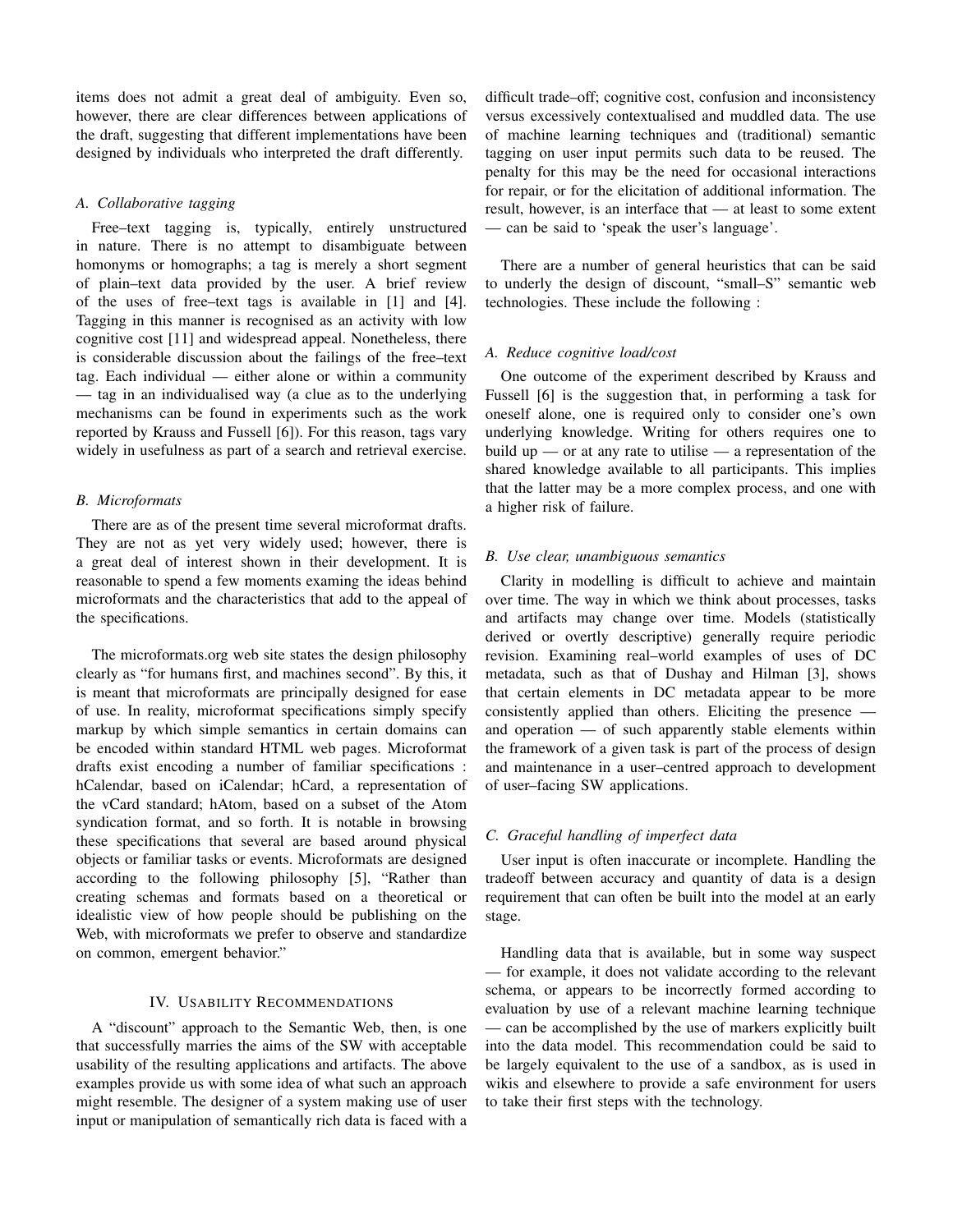items does not admit a great deal of ambiguity. Even so, however, there are clear differences between applications of the draft, suggesting that different implementations have been designed by individuals who interpreted the draft differently.

## *A. Collaborative tagging*

Free–text tagging is, typically, entirely unstructured in nature. There is no attempt to disambiguate between homonyms or homographs; a tag is merely a short segment of plain–text data provided by the user. A brief review of the uses of free–text tags is available in [1] and [4]. Tagging in this manner is recognised as an activity with low cognitive cost [11] and widespread appeal. Nonetheless, there is considerable discussion about the failings of the free–text tag. Each individual — either alone or within a community — tag in an individualised way (a clue as to the underlying mechanisms can be found in experiments such as the work reported by Krauss and Fussell [6]). For this reason, tags vary widely in usefulness as part of a search and retrieval exercise.

#### *B. Microformats*

There are as of the present time several microformat drafts. They are not as yet very widely used; however, there is a great deal of interest shown in their development. It is reasonable to spend a few moments examing the ideas behind microformats and the characteristics that add to the appeal of the specifications.

The microformats.org web site states the design philosophy clearly as "for humans first, and machines second". By this, it is meant that microformats are principally designed for ease of use. In reality, microformat specifications simply specify markup by which simple semantics in certain domains can be encoded within standard HTML web pages. Microformat drafts exist encoding a number of familiar specifications : hCalendar, based on iCalendar; hCard, a representation of the vCard standard; hAtom, based on a subset of the Atom syndication format, and so forth. It is notable in browsing these specifications that several are based around physical objects or familiar tasks or events. Microformats are designed according to the following philosophy [5], "Rather than creating schemas and formats based on a theoretical or idealistic view of how people should be publishing on the Web, with microformats we prefer to observe and standardize on common, emergent behavior."

# IV. USABILITY RECOMMENDATIONS

A "discount" approach to the Semantic Web, then, is one that successfully marries the aims of the SW with acceptable usability of the resulting applications and artifacts. The above examples provide us with some idea of what such an approach might resemble. The designer of a system making use of user input or manipulation of semantically rich data is faced with a difficult trade–off; cognitive cost, confusion and inconsistency versus excessively contextualised and muddled data. The use of machine learning techniques and (traditional) semantic tagging on user input permits such data to be reused. The penalty for this may be the need for occasional interactions for repair, or for the elicitation of additional information. The result, however, is an interface that — at least to some extent — can be said to 'speak the user's language'.

There are a number of general heuristics that can be said to underly the design of discount, "small–S" semantic web technologies. These include the following :

#### *A. Reduce cognitive load/cost*

One outcome of the experiment described by Krauss and Fussell [6] is the suggestion that, in performing a task for oneself alone, one is required only to consider one's own underlying knowledge. Writing for others requires one to build up — or at any rate to utilise — a representation of the shared knowledge available to all participants. This implies that the latter may be a more complex process, and one with a higher risk of failure.

#### *B. Use clear, unambiguous semantics*

Clarity in modelling is difficult to achieve and maintain over time. The way in which we think about processes, tasks and artifacts may change over time. Models (statistically derived or overtly descriptive) generally require periodic revision. Examining real–world examples of uses of DC metadata, such as that of Dushay and Hilman [3], shows that certain elements in DC metadata appear to be more consistently applied than others. Eliciting the presence and operation — of such apparently stable elements within the framework of a given task is part of the process of design and maintenance in a user–centred approach to development of user–facing SW applications.

# *C. Graceful handling of imperfect data*

User input is often inaccurate or incomplete. Handling the tradeoff between accuracy and quantity of data is a design requirement that can often be built into the model at an early stage.

Handling data that is available, but in some way suspect — for example, it does not validate according to the relevant schema, or appears to be incorrectly formed according to evaluation by use of a relevant machine learning technique — can be accomplished by the use of markers explicitly built into the data model. This recommendation could be said to be largely equivalent to the use of a sandbox, as is used in wikis and elsewhere to provide a safe environment for users to take their first steps with the technology.